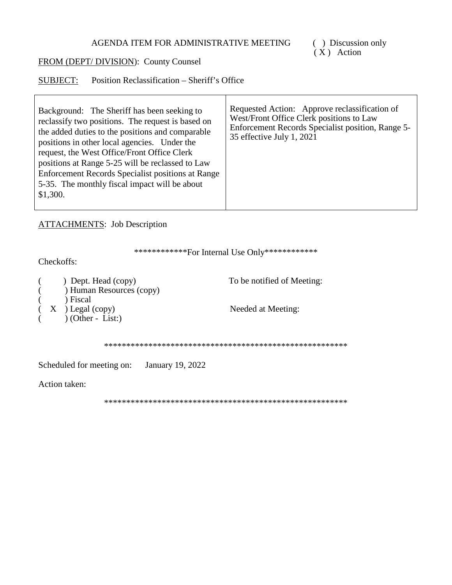( ) Discussion only<br>(X) Action

## FROM (DEPT/DIVISION): County Counsel

SUBJECT: Position Reclassification - Sheriff's Office

| Enforcement Records Specialist position, Range 5-<br>35 effective July 1, 2021 |
|--------------------------------------------------------------------------------|
|                                                                                |

**ATTACHMENTS:** Job Description

\*\*\*\*\*\*\*\*\*\*\*\*\*For Internal Use Only\*\*\*\*\*\*\*\*\*\*\*\*\*

Checkoffs:

|  | ) Dept. Head (copy)<br>) Human Resources (copy)     | To be notified of Meeting: |
|--|-----------------------------------------------------|----------------------------|
|  | ) Fiscal<br>$(X)$ Legal (copy)<br>$(Other - List.)$ | Needed at Meeting:         |
|  |                                                     |                            |

Scheduled for meeting on: January 19, 2022

Action taken: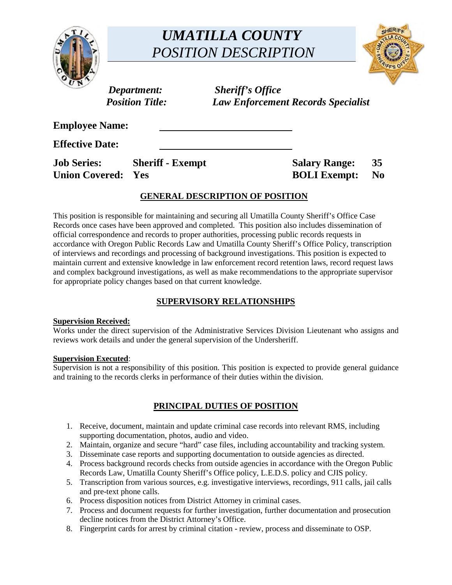

# *UMATILLA COUNTY POSITION DESCRIPTION*



*Department: Sheriff's Office Position Title: Law Enforcement Records Specialist* 

**Employee Name:** 

**Effective Date:** 

**Job Series:** Sheriff - Exempt Salary Range: 35 **Union Covered: Yes BOLI Exempt: No** 

# **GENERAL DESCRIPTION OF POSITION**

This position is responsible for maintaining and securing all Umatilla County Sheriff's Office Case Records once cases have been approved and completed. This position also includes dissemination of official correspondence and records to proper authorities, processing public records requests in accordance with Oregon Public Records Law and Umatilla County Sheriff's Office Policy, transcription of interviews and recordings and processing of background investigations. This position is expected to maintain current and extensive knowledge in law enforcement record retention laws, record request laws and complex background investigations, as well as make recommendations to the appropriate supervisor for appropriate policy changes based on that current knowledge.

# **SUPERVISORY RELATIONSHIPS**

## **Supervision Received:**

Works under the direct supervision of the Administrative Services Division Lieutenant who assigns and reviews work details and under the general supervision of the Undersheriff.

#### **Supervision Executed**:

Supervision is not a responsibility of this position. This position is expected to provide general guidance and training to the records clerks in performance of their duties within the division.

# **PRINCIPAL DUTIES OF POSITION**

- 1. Receive, document, maintain and update criminal case records into relevant RMS, including supporting documentation, photos, audio and video.
- 2. Maintain, organize and secure "hard" case files, including accountability and tracking system.
- 3. Disseminate case reports and supporting documentation to outside agencies as directed.
- 4. Process background records checks from outside agencies in accordance with the Oregon Public Records Law, Umatilla County Sheriff's Office policy, L.E.D.S. policy and CJIS policy.
- 5. Transcription from various sources, e.g. investigative interviews, recordings, 911 calls, jail calls and pre-text phone calls.
- 6. Process disposition notices from District Attorney in criminal cases.
- 7. Process and document requests for further investigation, further documentation and prosecution decline notices from the District Attorney's Office.
- 8. Fingerprint cards for arrest by criminal citation review, process and disseminate to OSP.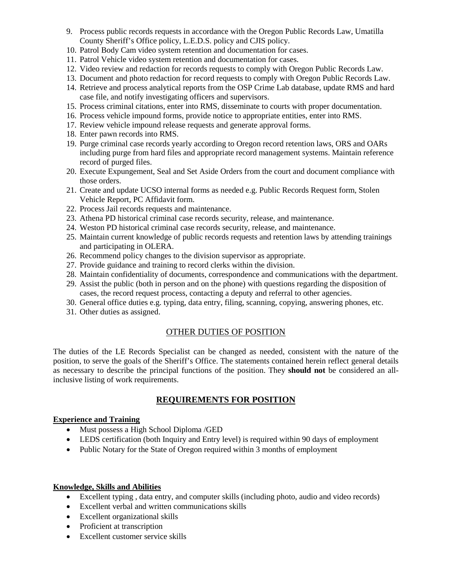- 9. Process public records requests in accordance with the Oregon Public Records Law, Umatilla County Sheriff's Office policy, L.E.D.S. policy and CJIS policy.
- 10. Patrol Body Cam video system retention and documentation for cases.
- 11. Patrol Vehicle video system retention and documentation for cases.
- 12. Video review and redaction for records requests to comply with Oregon Public Records Law.
- 13. Document and photo redaction for record requests to comply with Oregon Public Records Law.
- 14. Retrieve and process analytical reports from the OSP Crime Lab database, update RMS and hard case file, and notify investigating officers and supervisors.
- 15. Process criminal citations, enter into RMS, disseminate to courts with proper documentation.
- 16. Process vehicle impound forms, provide notice to appropriate entities, enter into RMS.
- 17. Review vehicle impound release requests and generate approval forms.
- 18. Enter pawn records into RMS.
- 19. Purge criminal case records yearly according to Oregon record retention laws, ORS and OARs including purge from hard files and appropriate record management systems. Maintain reference record of purged files.
- 20. Execute Expungement, Seal and Set Aside Orders from the court and document compliance with those orders.
- 21. Create and update UCSO internal forms as needed e.g. Public Records Request form, Stolen Vehicle Report, PC Affidavit form.
- 22. Process Jail records requests and maintenance.
- 23. Athena PD historical criminal case records security, release, and maintenance.
- 24. Weston PD historical criminal case records security, release, and maintenance.
- 25. Maintain current knowledge of public records requests and retention laws by attending trainings and participating in OLERA.
- 26. Recommend policy changes to the division supervisor as appropriate.
- 27. Provide guidance and training to record clerks within the division.
- 28. Maintain confidentiality of documents, correspondence and communications with the department.
- 29. Assist the public (both in person and on the phone) with questions regarding the disposition of cases, the record request process, contacting a deputy and referral to other agencies.
- 30. General office duties e.g. typing, data entry, filing, scanning, copying, answering phones, etc.
- 31. Other duties as assigned.

## OTHER DUTIES OF POSITION

The duties of the LE Records Specialist can be changed as needed, consistent with the nature of the position, to serve the goals of the Sheriff's Office. The statements contained herein reflect general details as necessary to describe the principal functions of the position. They **should not** be considered an allinclusive listing of work requirements.

#### **REQUIREMENTS FOR POSITION**

#### **Experience and Training**

- Must possess a High School Diploma / GED
- LEDS certification (both Inquiry and Entry level) is required within 90 days of employment
- Public Notary for the State of Oregon required within 3 months of employment

#### **Knowledge, Skills and Abilities**

- Excellent typing , data entry, and computer skills (including photo, audio and video records)
- Excellent verbal and written communications skills
- Excellent organizational skills
- Proficient at transcription
- Excellent customer service skills